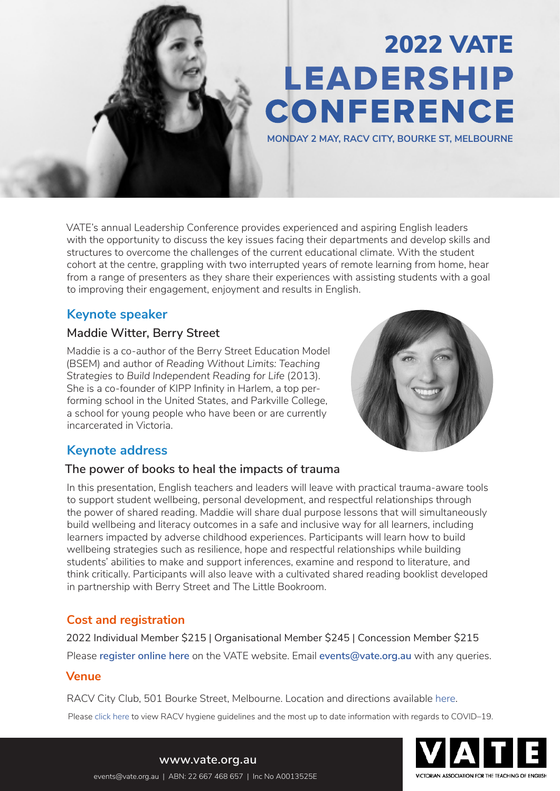# 2022 VATE**LEADERSHIP CONFERENCE**

**MONDAY 2 MAY, RACV CITY, BOURKE ST, MELBOURNE**

VATE's annual Leadership Conference provides experienced and aspiring English leaders with the opportunity to discuss the key issues facing their departments and develop skills and structures to overcome the challenges of the current educational climate. With the student cohort at the centre, grappling with two interrupted years of remote learning from home, hear from a range of presenters as they share their experiences with assisting students with a goal to improving their engagement, enjoyment and results in English.

## **Keynote speaker**

## **Maddie Witter, Berry Street**

Maddie is a co-author of the Berry Street Education Model (BSEM) and author of *Reading Without Limits: Teaching Strategies to Build Independent Reading for Life* (2013). She is a co-founder of KIPP Infinity in Harlem, a top performing school in the United States, and Parkville College, a school for young people who have been or are currently incarcerated in Victoria.



## **Keynote address**

## **The power of books to heal the impacts of trauma**

In this presentation, English teachers and leaders will leave with practical trauma-aware tools to support student wellbeing, personal development, and respectful relationships through the power of shared reading. Maddie will share dual purpose lessons that will simultaneously build wellbeing and literacy outcomes in a safe and inclusive way for all learners, including learners impacted by adverse childhood experiences. Participants will learn how to build wellbeing strategies such as resilience, hope and respectful relationships while building students' abilities to make and support inferences, examine and respond to literature, and think critically. Participants will also leave with a cultivated shared reading booklist developed in partnership with Berry Street and The Little Bookroom.

## **Cost and registration**

2022 Individual Member \$215 | Organisational Member \$245 | Concession Member \$215 Please **[register online here](https://www.vate.org.au/user/login?destination=node/2180)** on the VATE website. Email **[events@vate.org.au](mailto:events%40vate.org.au?subject=)** with any queries.

## **Venue**

RACV City Club, 501 Bourke Street, Melbourne. Location and directions available [here](https://www.racv.com.au/travel-leisure/racv-club/city-club.html?cmpid=gp:rcc).

Please [click here](https://www.racv.com.au/covid-19/racv-club.html) to view RACV hygiene guidelines and the most up to date information with regards to COVID–19.



**[www.vate.org.au](https://www.vate.org.au/)** [events@vate.org.au](mailto:events%40vate.org.au?subject=) | ABN: 22 667 468 657 | Inc No A0013525E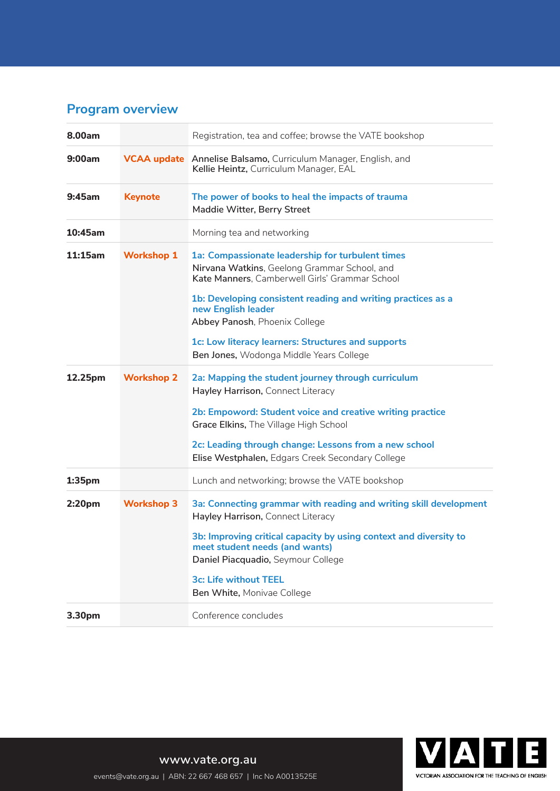## **Program overview**

| 8.00am             |                   | Registration, tea and coffee; browse the VATE bookshop                                                                                                                                                                                                                                                                                                                     |
|--------------------|-------------------|----------------------------------------------------------------------------------------------------------------------------------------------------------------------------------------------------------------------------------------------------------------------------------------------------------------------------------------------------------------------------|
| 9:00am             |                   | VCAA update Annelise Balsamo, Curriculum Manager, English, and<br>Kellie Heintz, Curriculum Manager, EAL                                                                                                                                                                                                                                                                   |
| 9:45am             | <b>Keynote</b>    | The power of books to heal the impacts of trauma<br>Maddie Witter, Berry Street                                                                                                                                                                                                                                                                                            |
| 10:45am            |                   | Morning tea and networking                                                                                                                                                                                                                                                                                                                                                 |
| 11:15am            | <b>Workshop 1</b> | 1a: Compassionate leadership for turbulent times<br>Nirvana Watkins, Geelong Grammar School, and<br>Kate Manners, Camberwell Girls' Grammar School<br>1b: Developing consistent reading and writing practices as a<br>new English leader<br>Abbey Panosh, Phoenix College<br>1c: Low literacy learners: Structures and supports<br>Ben Jones, Wodonga Middle Years College |
| 12.25pm            | <b>Workshop 2</b> | 2a: Mapping the student journey through curriculum<br>Hayley Harrison, Connect Literacy<br>2b: Empoword: Student voice and creative writing practice<br>Grace Elkins, The Village High School<br>2c: Leading through change: Lessons from a new school<br>Elise Westphalen, Edgars Creek Secondary College                                                                 |
| 1:35 <sub>pm</sub> |                   | Lunch and networking; browse the VATE bookshop                                                                                                                                                                                                                                                                                                                             |
| 2:20 <sub>pm</sub> | <b>Workshop 3</b> | 3a: Connecting grammar with reading and writing skill development<br>Hayley Harrison, Connect Literacy<br>3b: Improving critical capacity by using context and diversity to<br>meet student needs (and wants)<br>Daniel Piacquadio, Seymour College<br><b>3c: Life without TEEL</b><br>Ben White, Monivae College                                                          |
| 3.30pm             |                   | Conference concludes                                                                                                                                                                                                                                                                                                                                                       |

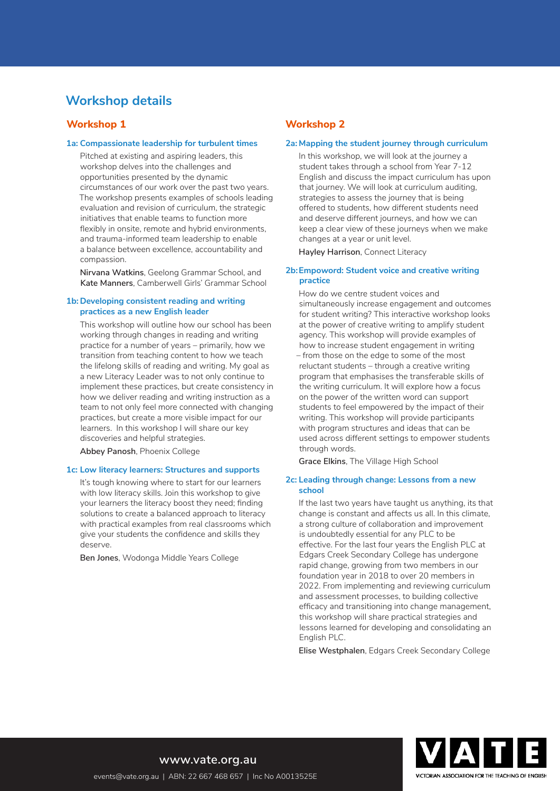## **Workshop details**

#### **Workshop 1**

#### **1a: Compassionate leadership for turbulent times**

Pitched at existing and aspiring leaders, this workshop delves into the challenges and opportunities presented by the dynamic circumstances of our work over the past two years. The workshop presents examples of schools leading evaluation and revision of curriculum, the strategic initiatives that enable teams to function more flexibly in onsite, remote and hybrid environments, and trauma-informed team leadership to enable a balance between excellence, accountability and compassion.

**Nirvana Watkins**, Geelong Grammar School, and **Kate Manners**, Camberwell Girls' Grammar School

#### **1b: Developing consistent reading and writing practices as a new English leader**

 This workshop will outline how our school has been working through changes in reading and writing practice for a number of years – primarily, how we transition from teaching content to how we teach the lifelong skills of reading and writing. My goal as a new Literacy Leader was to not only continue to implement these practices, but create consistency in how we deliver reading and writing instruction as a team to not only feel more connected with changing practices, but create a more visible impact for our learners. In this workshop I will share our key discoveries and helpful strategies.

**Abbey Panosh**, Phoenix College

#### **1c: Low literacy learners: Structures and supports**

It's tough knowing where to start for our learners with low literacy skills. Join this workshop to give your learners the literacy boost they need; finding solutions to create a balanced approach to literacy with practical examples from real classrooms which give your students the confidence and skills they deserve.

**Ben Jones**, Wodonga Middle Years College

### **Workshop 2**

#### **2a: Mapping the student journey through curriculum**

In this workshop, we will look at the journey a student takes through a school from Year 7-12 English and discuss the impact curriculum has upon that journey. We will look at curriculum auditing, strategies to assess the journey that is being offered to students, how different students need and deserve different journeys, and how we can keep a clear view of these journeys when we make changes at a year or unit level.

**Hayley Harrison**, Connect Literacy

#### **2b: Empo***wor***d: Student voice and creative writing practice**

How do we centre student voices and simultaneously increase engagement and outcomes for student writing? This interactive workshop looks at the power of creative writing to amplify student agency. This workshop will provide examples of how to increase student engagement in writing – from those on the edge to some of the most reluctant students – through a creative writing program that emphasises the transferable skills of the writing curriculum. It will explore how a focus on the power of the written word can support students to feel empowered by the impact of their writing. This workshop will provide participants with program structures and ideas that can be used across different settings to empower students through words.

**Grace Elkins**, The Village High School

#### **2c: Leading through change: Lessons from a new school**

If the last two years have taught us anything, its that change is constant and affects us all. In this climate, a strong culture of collaboration and improvement is undoubtedly essential for any PLC to be effective. For the last four years the English PLC at Edgars Creek Secondary College has undergone rapid change, growing from two members in our foundation year in 2018 to over 20 members in 2022. From implementing and reviewing curriculum and assessment processes, to building collective efficacy and transitioning into change management, this workshop will share practical strategies and lessons learned for developing and consolidating an English PLC.

**Elise Westphalen**, Edgars Creek Secondary College